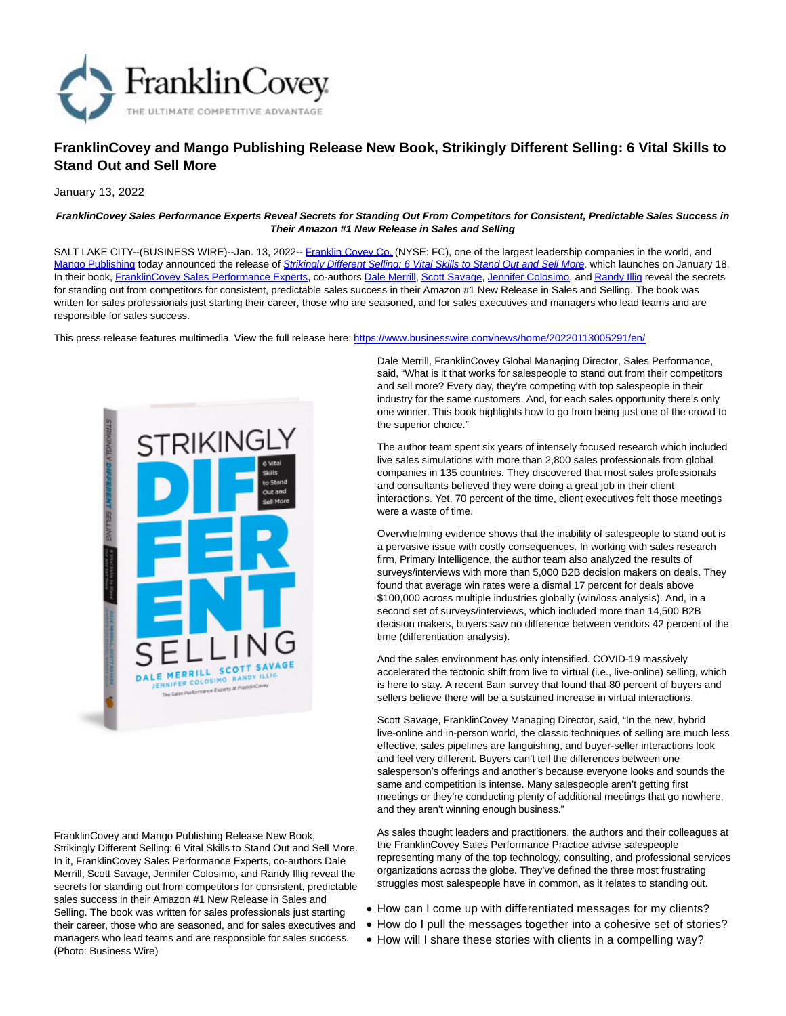

# **FranklinCovey and Mango Publishing Release New Book, Strikingly Different Selling: 6 Vital Skills to Stand Out and Sell More**

January 13, 2022

#### **FranklinCovey Sales Performance Experts Reveal Secrets for Standing Out From Competitors for Consistent, Predictable Sales Success in Their Amazon #1 New Release in Sales and Selling**

SALT LAKE CITY--(BUSINESS WIRE)--Jan. 13, 2022-[- Franklin Covey Co. \(](https://cts.businesswire.com/ct/CT?id=smartlink&url=http%3A%2F%2Fwww.franklincovey.com%2F&esheet=52562286&newsitemid=20220113005291&lan=en-US&anchor=Franklin+Covey+Co.&index=1&md5=041707f212e04966e43eb01632e84ac3)NYSE: FC), one of the largest leadership companies in the world, and [Mango Publishing t](https://cts.businesswire.com/ct/CT?id=smartlink&url=https%3A%2F%2Fmango.bz%2F&esheet=52562286&newsitemid=20220113005291&lan=en-US&anchor=Mango+Publishing&index=2&md5=c5a447b53352b8712bfb20eb21ed0f8f)oday announced the release of [Strikingly Different Selling: 6 Vital Skills to Stand Out and Sell More,](https://cts.businesswire.com/ct/CT?id=smartlink&url=https%3A%2F%2Fwww.franklincovey.com%2Fstrikingly-different-book%2F%3Fcatargetid%3D330001490000116320%26CAPCID%3D511706021237%26CATCI%3Daud-623733580487%3Adsa-19959388920%26CAAGID%3D95309469023%26CADevice%3Dc%26gclid%3DEAIaIQobChMI352ErvX39AIV6RXUAR1YQwQFEAAYASAAEgLfNvD_BwE&esheet=52562286&newsitemid=20220113005291&lan=en-US&anchor=Strikingly+Different+Selling%3A+6+Vital+Skills+to+Stand+Out+and+Sell+More&index=3&md5=ea771de3095079e7df8178e16047b67e) which launches on January 18. In their book, [FranklinCovey Sales Performance Experts,](https://cts.businesswire.com/ct/CT?id=smartlink&url=https%3A%2F%2Fwww.franklincovey.com%2Fsolutions%2Fsales-performance%2F&esheet=52562286&newsitemid=20220113005291&lan=en-US&anchor=FranklinCovey+Sales+Performance+Experts&index=4&md5=1eddcd3d6fd377140fc1ecf839b8f783) co-authors [Dale Merrill,](https://cts.businesswire.com/ct/CT?id=smartlink&url=https%3A%2F%2Fwww.franklincovey.com%2Fwp-content%2Fuploads%2F2021%2F09%2FDale-Merrill_FinalBio.pdf&esheet=52562286&newsitemid=20220113005291&lan=en-US&anchor=Dale+Merrill&index=5&md5=10293d4bd317a0ed5ba17e18fc792427) [Scott Savage,](https://cts.businesswire.com/ct/CT?id=smartlink&url=https%3A%2F%2Fwww.franklincovey.com%2Fwp-content%2Fuploads%2F2021%2F03%2FScott-Savage-bio-2020-v2.pdf&esheet=52562286&newsitemid=20220113005291&lan=en-US&anchor=Scott+Savage&index=6&md5=5f4d7f9d41225a7c6446fdb8a0324e7f) [Jennifer Colosimo,](https://cts.businesswire.com/ct/CT?id=smartlink&url=https%3A%2F%2Fwww.franklincovey.com%2Fabout%2Fexecutive-team%2Fjen-colosimo%2F&esheet=52562286&newsitemid=20220113005291&lan=en-US&anchor=Jennifer+Colosimo&index=7&md5=db1fb514cd3b1bba763b9336a478171e) an[d Randy Illig r](https://cts.businesswire.com/ct/CT?id=smartlink&url=https%3A%2F%2Fresources.franklincovey.com%2Fauthors%2Frandy-illig%3Fcatargetid%3D330001490000116320%26CAPCID%3D511706021237%26CATCI%3Daud-623733580487%253Adsa-19959388920%26CAAGID%3D95309469023%26CADevice%3Dc%26gclid%3DEAIaIQobChMIn6ih3fT39AIVtxTUAR3ESQtkEAMYASAAEgIbzfD_BwE&esheet=52562286&newsitemid=20220113005291&lan=en-US&anchor=Randy+Illig&index=8&md5=f924e260abb24cb64d594b4e412143f6)eveal the secrets for standing out from competitors for consistent, predictable sales success in their Amazon #1 New Release in Sales and Selling. The book was written for sales professionals just starting their career, those who are seasoned, and for sales executives and managers who lead teams and are responsible for sales success.

This press release features multimedia. View the full release here:<https://www.businesswire.com/news/home/20220113005291/en/>



FranklinCovey and Mango Publishing Release New Book, Strikingly Different Selling: 6 Vital Skills to Stand Out and Sell More. In it, FranklinCovey Sales Performance Experts, co-authors Dale Merrill, Scott Savage, Jennifer Colosimo, and Randy Illig reveal the secrets for standing out from competitors for consistent, predictable sales success in their Amazon #1 New Release in Sales and Selling. The book was written for sales professionals just starting their career, those who are seasoned, and for sales executives and managers who lead teams and are responsible for sales success. (Photo: Business Wire)

Dale Merrill, FranklinCovey Global Managing Director, Sales Performance, said, "What is it that works for salespeople to stand out from their competitors and sell more? Every day, they're competing with top salespeople in their industry for the same customers. And, for each sales opportunity there's only one winner. This book highlights how to go from being just one of the crowd to the superior choice."

The author team spent six years of intensely focused research which included live sales simulations with more than 2,800 sales professionals from global companies in 135 countries. They discovered that most sales professionals and consultants believed they were doing a great job in their client interactions. Yet, 70 percent of the time, client executives felt those meetings were a waste of time.

Overwhelming evidence shows that the inability of salespeople to stand out is a pervasive issue with costly consequences. In working with sales research firm, Primary Intelligence, the author team also analyzed the results of surveys/interviews with more than 5,000 B2B decision makers on deals. They found that average win rates were a dismal 17 percent for deals above \$100,000 across multiple industries globally (win/loss analysis). And, in a second set of surveys/interviews, which included more than 14,500 B2B decision makers, buyers saw no difference between vendors 42 percent of the time (differentiation analysis).

And the sales environment has only intensified. COVID-19 massively accelerated the tectonic shift from live to virtual (i.e., live-online) selling, which is here to stay. A recent Bain survey that found that 80 percent of buyers and sellers believe there will be a sustained increase in virtual interactions.

Scott Savage, FranklinCovey Managing Director, said, "In the new, hybrid live-online and in-person world, the classic techniques of selling are much less effective, sales pipelines are languishing, and buyer-seller interactions look and feel very different. Buyers can't tell the differences between one salesperson's offerings and another's because everyone looks and sounds the same and competition is intense. Many salespeople aren't getting first meetings or they're conducting plenty of additional meetings that go nowhere, and they aren't winning enough business."

As sales thought leaders and practitioners, the authors and their colleagues at the FranklinCovey Sales Performance Practice advise salespeople representing many of the top technology, consulting, and professional services organizations across the globe. They've defined the three most frustrating struggles most salespeople have in common, as it relates to standing out.

- $\bullet$  How can I come up with differentiated messages for my clients?
- How do I pull the messages together into a cohesive set of stories?
- How will I share these stories with clients in a compelling way?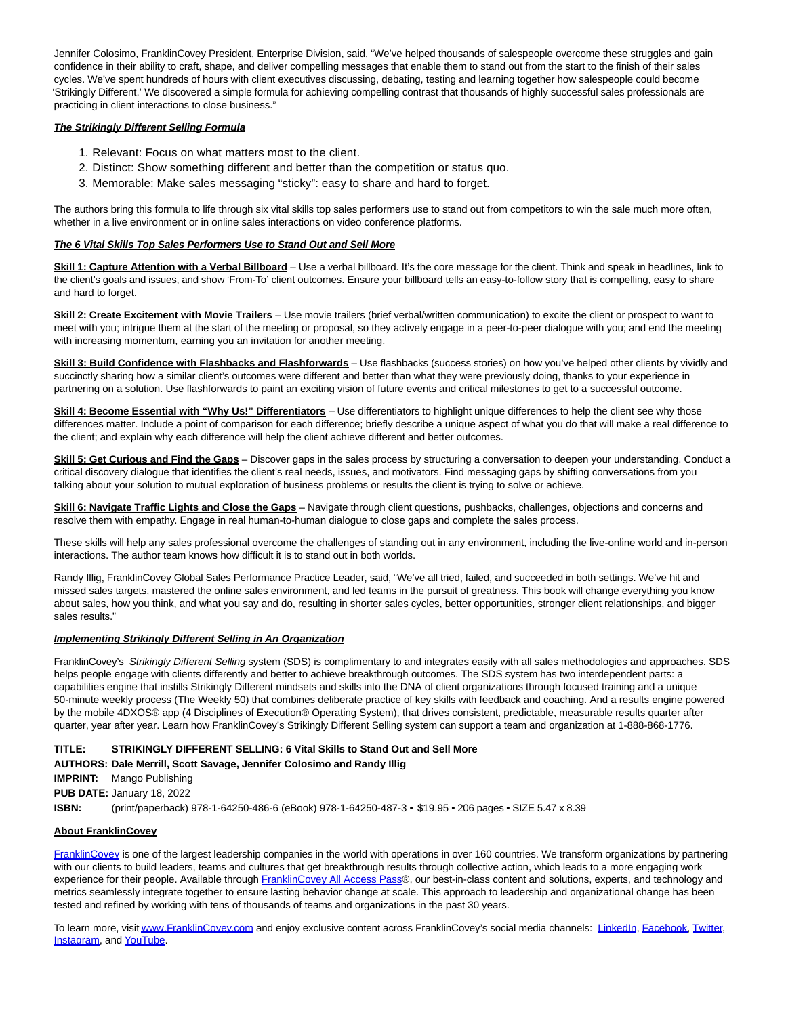Jennifer Colosimo, FranklinCovey President, Enterprise Division, said, "We've helped thousands of salespeople overcome these struggles and gain confidence in their ability to craft, shape, and deliver compelling messages that enable them to stand out from the start to the finish of their sales cycles. We've spent hundreds of hours with client executives discussing, debating, testing and learning together how salespeople could become 'Strikingly Different.' We discovered a simple formula for achieving compelling contrast that thousands of highly successful sales professionals are practicing in client interactions to close business."

# **The Strikingly Different Selling Formula**

- 1. Relevant: Focus on what matters most to the client.
- 2. Distinct: Show something different and better than the competition or status quo.
- 3. Memorable: Make sales messaging "sticky": easy to share and hard to forget.

The authors bring this formula to life through six vital skills top sales performers use to stand out from competitors to win the sale much more often, whether in a live environment or in online sales interactions on video conference platforms.

## **The 6 Vital Skills Top Sales Performers Use to Stand Out and Sell More**

Skill 1: Capture Attention with a Verbal Billboard - Use a verbal billboard. It's the core message for the client. Think and speak in headlines, link to the client's goals and issues, and show 'From-To' client outcomes. Ensure your billboard tells an easy-to-follow story that is compelling, easy to share and hard to forget.

**Skill 2: Create Excitement with Movie Trailers** – Use movie trailers (brief verbal/written communication) to excite the client or prospect to want to meet with you; intrigue them at the start of the meeting or proposal, so they actively engage in a peer-to-peer dialogue with you; and end the meeting with increasing momentum, earning you an invitation for another meeting.

**Skill 3: Build Confidence with Flashbacks and Flashforwards** – Use flashbacks (success stories) on how you've helped other clients by vividly and succinctly sharing how a similar client's outcomes were different and better than what they were previously doing, thanks to your experience in partnering on a solution. Use flashforwards to paint an exciting vision of future events and critical milestones to get to a successful outcome.

**Skill 4: Become Essential with "Why Us!" Differentiators** – Use differentiators to highlight unique differences to help the client see why those differences matter. Include a point of comparison for each difference; briefly describe a unique aspect of what you do that will make a real difference to the client; and explain why each difference will help the client achieve different and better outcomes.

**Skill 5: Get Curious and Find the Gaps** – Discover gaps in the sales process by structuring a conversation to deepen your understanding. Conduct a critical discovery dialogue that identifies the client's real needs, issues, and motivators. Find messaging gaps by shifting conversations from you talking about your solution to mutual exploration of business problems or results the client is trying to solve or achieve.

**Skill 6: Navigate Traffic Lights and Close the Gaps** – Navigate through client questions, pushbacks, challenges, objections and concerns and resolve them with empathy. Engage in real human-to-human dialogue to close gaps and complete the sales process.

These skills will help any sales professional overcome the challenges of standing out in any environment, including the live-online world and in-person interactions. The author team knows how difficult it is to stand out in both worlds.

Randy Illig, FranklinCovey Global Sales Performance Practice Leader, said, "We've all tried, failed, and succeeded in both settings. We've hit and missed sales targets, mastered the online sales environment, and led teams in the pursuit of greatness. This book will change everything you know about sales, how you think, and what you say and do, resulting in shorter sales cycles, better opportunities, stronger client relationships, and bigger sales results."

#### **Implementing Strikingly Different Selling in An Organization**

FranklinCovey's Strikingly Different Selling system (SDS) is complimentary to and integrates easily with all sales methodologies and approaches. SDS helps people engage with clients differently and better to achieve breakthrough outcomes. The SDS system has two interdependent parts: a capabilities engine that instills Strikingly Different mindsets and skills into the DNA of client organizations through focused training and a unique 50-minute weekly process (The Weekly 50) that combines deliberate practice of key skills with feedback and coaching. And a results engine powered by the mobile 4DXOS® app (4 Disciplines of Execution® Operating System), that drives consistent, predictable, measurable results quarter after quarter, year after year. Learn how FranklinCovey's Strikingly Different Selling system can support a team and organization at 1-888-868-1776.

# **TITLE: STRIKINGLY DIFFERENT SELLING: 6 Vital Skills to Stand Out and Sell More**

# **AUTHORS: Dale Merrill, Scott Savage, Jennifer Colosimo and Randy Illig**

**IMPRINT:** Mango Publishing

**PUB DATE:** January 18, 2022

**ISBN:** (print/paperback) 978-1-64250-486-6 (eBook) 978-1-64250-487-3 • \$19.95 • 206 pages • SIZE 5.47 x 8.39

#### **About FranklinCovey**

[FranklinCovey i](https://cts.businesswire.com/ct/CT?id=smartlink&url=http%3A%2F%2Fwww.franklincovey.com%2F&esheet=52562286&newsitemid=20220113005291&lan=en-US&anchor=FranklinCovey&index=9&md5=c7f2011635141cf6b74b34e40b02a697)s one of the largest leadership companies in the world with operations in over 160 countries. We transform organizations by partnering with our clients to build leaders, teams and cultures that get breakthrough results through collective action, which leads to a more engaging work experience for their people. Available through [FranklinCovey All Access Pass®](https://cts.businesswire.com/ct/CT?id=smartlink&url=https%3A%2F%2Fwww.franklincovey.com%2Fengage-with-us%2Fall-access-pass%2F&esheet=52562286&newsitemid=20220113005291&lan=en-US&anchor=FranklinCovey+All+Access+Pass&index=10&md5=c1334b719fdd2fd3c15ccf8fb80e3ee0), our best-in-class content and solutions, experts, and technology and metrics seamlessly integrate together to ensure lasting behavior change at scale. This approach to leadership and organizational change has been tested and refined by working with tens of thousands of teams and organizations in the past 30 years.

To learn more, visi[t www.FranklinCovey.com a](https://cts.businesswire.com/ct/CT?id=smartlink&url=http%3A%2F%2Fwww.FranklinCovey.com&esheet=52562286&newsitemid=20220113005291&lan=en-US&anchor=www.FranklinCovey.com&index=11&md5=339afa22b37cb0be72e5b46705182064)nd enjoy exclusive content across FranklinCovey's social media channels: [LinkedIn,](https://cts.businesswire.com/ct/CT?id=smartlink&url=https%3A%2F%2Fwww.linkedin.com%2Fcompany%2Ffranklincovey%2F&esheet=52562286&newsitemid=20220113005291&lan=en-US&anchor=LinkedIn&index=12&md5=7c2319bafc2fdb104a7eabde8135e2f4) [Facebook,](https://cts.businesswire.com/ct/CT?id=smartlink&url=https%3A%2F%2Fwww.facebook.com%2FFranklinCovey%2F&esheet=52562286&newsitemid=20220113005291&lan=en-US&anchor=Facebook&index=13&md5=62a458134e42d31e5f2fb48d05196cdd) [Twitter,](https://cts.businesswire.com/ct/CT?id=smartlink&url=https%3A%2F%2Ftwitter.com%2Ffranklincovey&esheet=52562286&newsitemid=20220113005291&lan=en-US&anchor=Twitter&index=14&md5=c7dac5ca2b59ce5385a3bbe29872be14) [Instagram,](https://cts.businesswire.com/ct/CT?id=smartlink&url=https%3A%2F%2Fwww.instagram.com%2Ffranklincovey%2F&esheet=52562286&newsitemid=20220113005291&lan=en-US&anchor=Instagram&index=15&md5=5aa46c1c4b70a9b0510906dd7edd5910) an[d YouTube.](https://cts.businesswire.com/ct/CT?id=smartlink&url=https%3A%2F%2Fwww.youtube.com%2Fuser%2FFranklinCoveyVideos&esheet=52562286&newsitemid=20220113005291&lan=en-US&anchor=YouTube&index=16&md5=8c58f4e627fa3f2a9bdab35c564426d2)